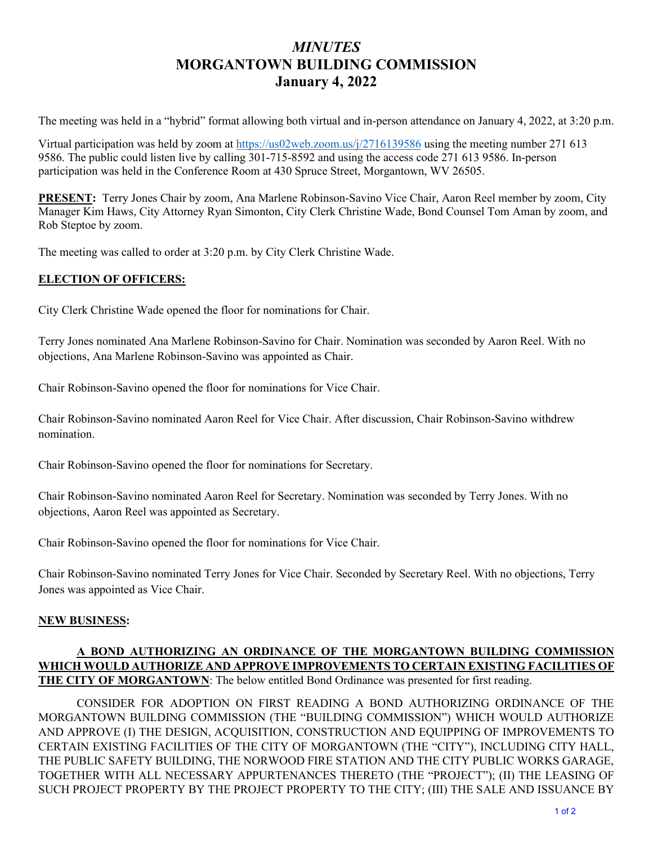## *MINUTES*  **MORGANTOWN BUILDING COMMISSION January 4, 2022**

The meeting was held in a "hybrid" format allowing both virtual and in-person attendance on January 4, 2022, at 3:20 p.m.

Virtual participation was held by zoom at<https://us02web.zoom.us/j/2716139586>using the meeting number 271 613 9586. The public could listen live by calling 301-715-8592 and using the access code 271 613 9586. In-person participation was held in the Conference Room at 430 Spruce Street, Morgantown, WV 26505.

**PRESENT:** Terry Jones Chair by zoom, Ana Marlene Robinson-Savino Vice Chair, Aaron Reel member by zoom, City Manager Kim Haws, City Attorney Ryan Simonton, City Clerk Christine Wade, Bond Counsel Tom Aman by zoom, and Rob Steptoe by zoom.

The meeting was called to order at 3:20 p.m. by City Clerk Christine Wade.

## **ELECTION OF OFFICERS:**

City Clerk Christine Wade opened the floor for nominations for Chair.

Terry Jones nominated Ana Marlene Robinson-Savino for Chair. Nomination was seconded by Aaron Reel. With no objections, Ana Marlene Robinson-Savino was appointed as Chair.

Chair Robinson-Savino opened the floor for nominations for Vice Chair.

Chair Robinson-Savino nominated Aaron Reel for Vice Chair. After discussion, Chair Robinson-Savino withdrew nomination.

Chair Robinson-Savino opened the floor for nominations for Secretary.

Chair Robinson-Savino nominated Aaron Reel for Secretary. Nomination was seconded by Terry Jones. With no objections, Aaron Reel was appointed as Secretary.

Chair Robinson-Savino opened the floor for nominations for Vice Chair.

Chair Robinson-Savino nominated Terry Jones for Vice Chair. Seconded by Secretary Reel. With no objections, Terry Jones was appointed as Vice Chair.

## **NEW BUSINESS:**

## **A BOND AUTHORIZING AN ORDINANCE OF THE MORGANTOWN BUILDING COMMISSION WHICH WOULD AUTHORIZE AND APPROVE IMPROVEMENTS TO CERTAIN EXISTING FACILITIES OF THE CITY OF MORGANTOWN**: The below entitled Bond Ordinance was presented for first reading.

CONSIDER FOR ADOPTION ON FIRST READING A BOND AUTHORIZING ORDINANCE OF THE MORGANTOWN BUILDING COMMISSION (THE "BUILDING COMMISSION") WHICH WOULD AUTHORIZE AND APPROVE (I) THE DESIGN, ACQUISITION, CONSTRUCTION AND EQUIPPING OF IMPROVEMENTS TO CERTAIN EXISTING FACILITIES OF THE CITY OF MORGANTOWN (THE "CITY"), INCLUDING CITY HALL, THE PUBLIC SAFETY BUILDING, THE NORWOOD FIRE STATION AND THE CITY PUBLIC WORKS GARAGE, TOGETHER WITH ALL NECESSARY APPURTENANCES THERETO (THE "PROJECT"); (II) THE LEASING OF SUCH PROJECT PROPERTY BY THE PROJECT PROPERTY TO THE CITY; (III) THE SALE AND ISSUANCE BY